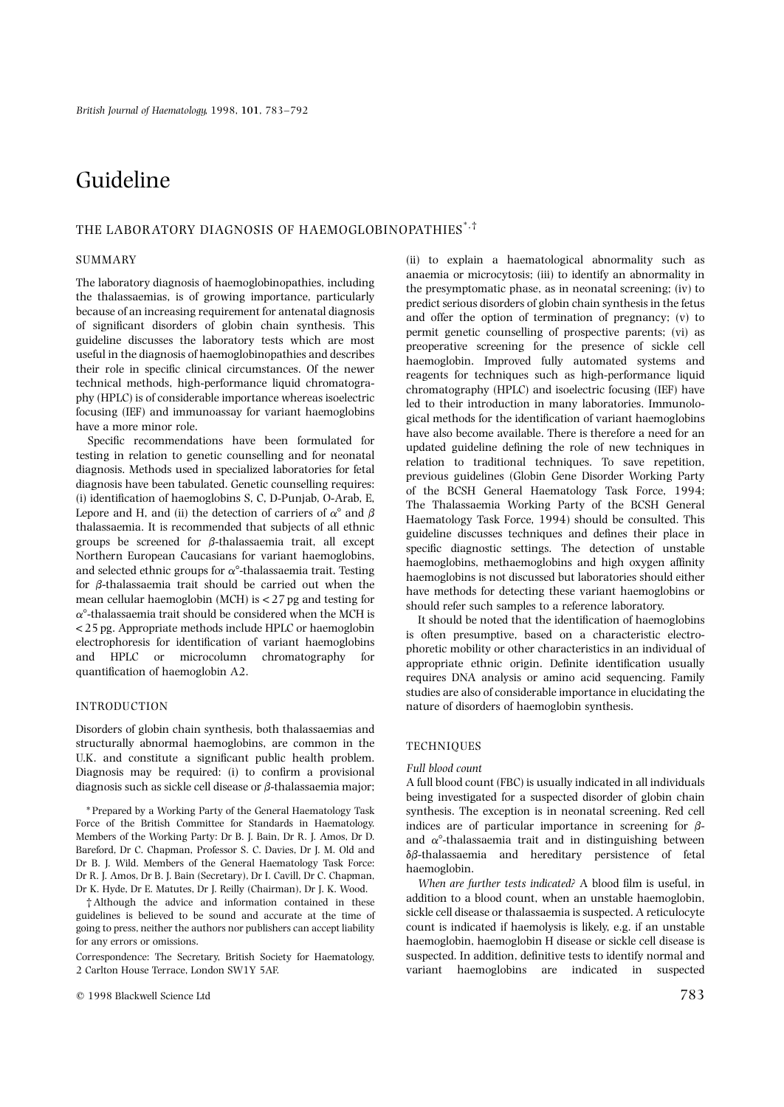# THE LABORATORY DIAGNOSIS OF HAEMOGLOBINOPATHIES\*,†

#### **SUMMARY**

The laboratory diagnosis of haemoglobinopathies, including the thalassaemias, is of growing importance, particularly because of an increasing requirement for antenatal diagnosis of significant disorders of globin chain synthesis. This guideline discusses the laboratory tests which are most useful in the diagnosis of haemoglobinopathies and describes their role in specific clinical circumstances. Of the newer technical methods, high-performance liquid chromatography (HPLC) is of considerable importance whereas isoelectric focusing (IEF) and immunoassay for variant haemoglobins have a more minor role.

Specific recommendations have been formulated for testing in relation to genetic counselling and for neonatal diagnosis. Methods used in specialized laboratories for fetal diagnosis have been tabulated. Genetic counselling requires: (i) identification of haemoglobins S, C, D-Punjab, O-Arab, E, Lepore and H, and (ii) the detection of carriers of  $\alpha^{\circ}$  and  $\beta$ thalassaemia. It is recommended that subjects of all ethnic groups be screened for  $\beta$ -thalassaemia trait, all except Northern European Caucasians for variant haemoglobins, and selected ethnic groups for  $\alpha^{\circ}$ -thalassaemia trait. Testing for  $\beta$ -thalassaemia trait should be carried out when the mean cellular haemoglobin (MCH) is < 27 pg and testing for  $\alpha^{\circ}$ -thalassaemia trait should be considered when the MCH is < 25 pg. Appropriate methods include HPLC or haemoglobin electrophoresis for identification of variant haemoglobins and HPLC or microcolumn chromatography for quantification of haemoglobin A2.

#### INTRODUCTION

Disorders of globin chain synthesis, both thalassaemias and structurally abnormal haemoglobins, are common in the U.K. and constitute a significant public health problem. Diagnosis may be required: (i) to confirm a provisional diagnosis such as sickle cell disease or  $\beta$ -thalassaemia major;

\* Prepared by a Working Party of the General Haematology Task Force of the British Committee for Standards in Haematology. Members of the Working Party: Dr B. J. Bain, Dr R. J. Amos, Dr D. Bareford, Dr C. Chapman, Professor S. C. Davies, Dr J. M. Old and Dr B. J. Wild. Members of the General Haematology Task Force: Dr R. J. Amos, Dr B. J. Bain (Secretary), Dr I. Cavill, Dr C. Chapman, Dr K. Hyde, Dr E. Matutes, Dr J. Reilly (Chairman), Dr J. K. Wood.

† Although the advice and information contained in these guidelines is believed to be sound and accurate at the time of going to press, neither the authors nor publishers can accept liability for any errors or omissions.

Correspondence: The Secretary, British Society for Haematology, 2 Carlton House Terrace, London SW1Y 5AF.

(ii) to explain a haematological abnormality such as anaemia or microcytosis; (iii) to identify an abnormality in the presymptomatic phase, as in neonatal screening; (iv) to predict serious disorders of globin chain synthesis in the fetus and offer the option of termination of pregnancy; (v) to permit genetic counselling of prospective parents; (vi) as preoperative screening for the presence of sickle cell haemoglobin. Improved fully automated systems and reagents for techniques such as high-performance liquid chromatography (HPLC) and isoelectric focusing (IEF) have led to their introduction in many laboratories. Immunological methods for the identification of variant haemoglobins have also become available. There is therefore a need for an updated guideline defining the role of new techniques in relation to traditional techniques. To save repetition, previous guidelines (Globin Gene Disorder Working Party of the BCSH General Haematology Task Force, 1994; The Thalassaemia Working Party of the BCSH General Haematology Task Force, 1994) should be consulted. This guideline discusses techniques and defines their place in specific diagnostic settings. The detection of unstable haemoglobins, methaemoglobins and high oxygen affinity haemoglobins is not discussed but laboratories should either have methods for detecting these variant haemoglobins or should refer such samples to a reference laboratory.

It should be noted that the identification of haemoglobins is often presumptive, based on a characteristic electrophoretic mobility or other characteristics in an individual of appropriate ethnic origin. Definite identification usually requires DNA analysis or amino acid sequencing. Family studies are also of considerable importance in elucidating the nature of disorders of haemoglobin synthesis.

#### **TECHNIQUES**

#### *Full blood count*

A full blood count (FBC) is usually indicated in all individuals being investigated for a suspected disorder of globin chain synthesis. The exception is in neonatal screening. Red cell indices are of particular importance in screening for  $\beta$ and  $\alpha^{\circ}$ -thalassaemia trait and in distinguishing between  $\delta\beta$ -thalassaemia and hereditary persistence of fetal haemoglobin.

*When are further tests indicated?* A blood film is useful, in addition to a blood count, when an unstable haemoglobin, sickle cell disease or thalassaemia is suspected. A reticulocyte count is indicated if haemolysis is likely, e.g. if an unstable haemoglobin, haemoglobin H disease or sickle cell disease is suspected. In addition, definitive tests to identify normal and variant haemoglobins are indicated in suspected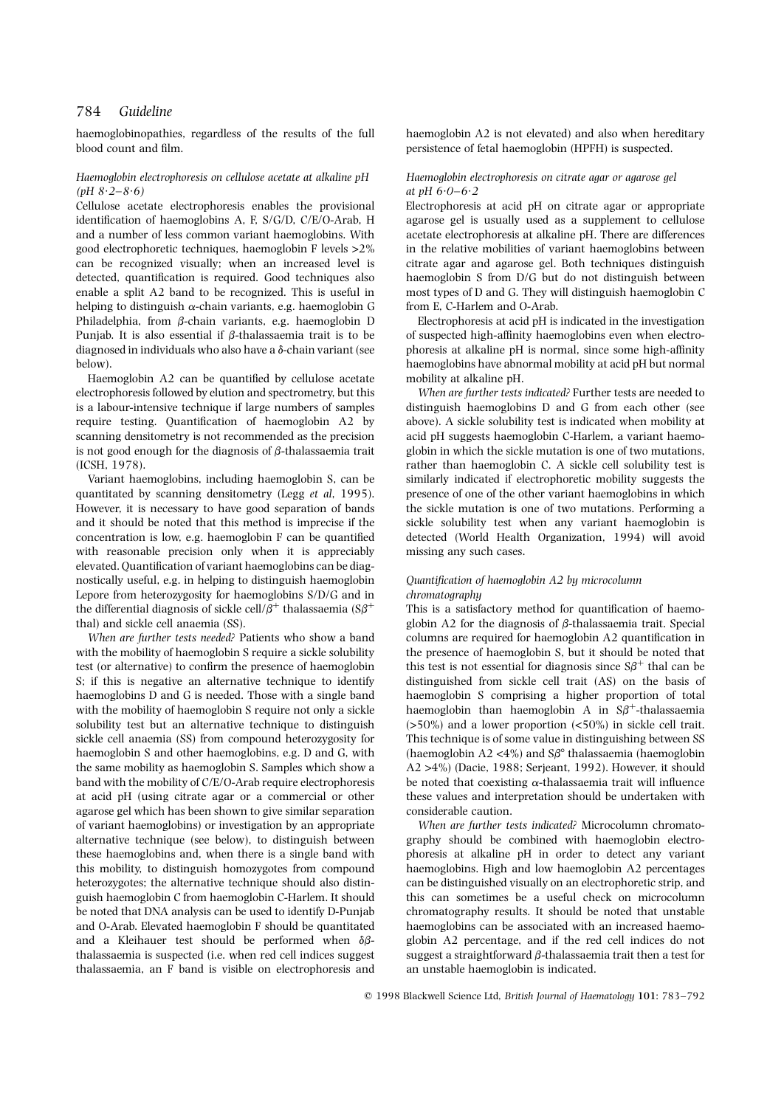haemoglobinopathies, regardless of the results of the full blood count and film.

### *Haemoglobin electrophoresis on cellulose acetate at alkaline pH (pH 8·2–8·6)*

Cellulose acetate electrophoresis enables the provisional identification of haemoglobins A, F, S/G/D, C/E/O-Arab, H and a number of less common variant haemoglobins. With good electrophoretic techniques, haemoglobin F levels >2% can be recognized visually; when an increased level is detected, quantification is required. Good techniques also enable a split A2 band to be recognized. This is useful in helping to distinguish  $\alpha$ -chain variants, e.g. haemoglobin G Philadelphia, from  $\beta$ -chain variants, e.g. haemoglobin D Punjab. It is also essential if  $\beta$ -thalassaemia trait is to be diagnosed in individuals who also have a δ-chain variant (see below).

Haemoglobin A2 can be quantified by cellulose acetate electrophoresis followed by elution and spectrometry, but this is a labour-intensive technique if large numbers of samples require testing. Quantification of haemoglobin A2 by scanning densitometry is not recommended as the precision is not good enough for the diagnosis of  $\beta$ -thalassaemia trait (ICSH, 1978).

Variant haemoglobins, including haemoglobin S, can be quantitated by scanning densitometry (Legg *et al*, 1995). However, it is necessary to have good separation of bands and it should be noted that this method is imprecise if the concentration is low, e.g. haemoglobin F can be quantified with reasonable precision only when it is appreciably elevated. Quantification of variant haemoglobins can be diagnostically useful, e.g. in helping to distinguish haemoglobin Lepore from heterozygosity for haemoglobins S/D/G and in the differential diagnosis of sickle cell/ $\beta^+$  thalassaemia (S $\beta^+$ ) thal) and sickle cell anaemia (SS).

*When are further tests needed?* Patients who show a band with the mobility of haemoglobin S require a sickle solubility test (or alternative) to confirm the presence of haemoglobin S; if this is negative an alternative technique to identify haemoglobins D and G is needed. Those with a single band with the mobility of haemoglobin S require not only a sickle solubility test but an alternative technique to distinguish sickle cell anaemia (SS) from compound heterozygosity for haemoglobin S and other haemoglobins, e.g. D and G, with the same mobility as haemoglobin S. Samples which show a band with the mobility of C/E/O-Arab require electrophoresis at acid pH (using citrate agar or a commercial or other agarose gel which has been shown to give similar separation of variant haemoglobins) or investigation by an appropriate alternative technique (see below), to distinguish between these haemoglobins and, when there is a single band with this mobility, to distinguish homozygotes from compound heterozygotes; the alternative technique should also distinguish haemoglobin C from haemoglobin C-Harlem. It should be noted that DNA analysis can be used to identify D-Punjab and O-Arab. Elevated haemoglobin F should be quantitated and a Kleihauer test should be performed when  $\delta\beta$ thalassaemia is suspected (i.e. when red cell indices suggest thalassaemia, an F band is visible on electrophoresis and

haemoglobin A2 is not elevated) and also when hereditary persistence of fetal haemoglobin (HPFH) is suspected.

## *Haemoglobin electrophoresis on citrate agar or agarose gel at pH 6·0–6·2*

Electrophoresis at acid pH on citrate agar or appropriate agarose gel is usually used as a supplement to cellulose acetate electrophoresis at alkaline pH. There are differences in the relative mobilities of variant haemoglobins between citrate agar and agarose gel. Both techniques distinguish haemoglobin S from D/G but do not distinguish between most types of D and G. They will distinguish haemoglobin C from E, C-Harlem and O-Arab.

Electrophoresis at acid pH is indicated in the investigation of suspected high-affinity haemoglobins even when electrophoresis at alkaline pH is normal, since some high-affinity haemoglobins have abnormal mobility at acid pH but normal mobility at alkaline pH.

*When are further tests indicated?* Further tests are needed to distinguish haemoglobins D and G from each other (see above). A sickle solubility test is indicated when mobility at acid pH suggests haemoglobin C-Harlem, a variant haemoglobin in which the sickle mutation is one of two mutations, rather than haemoglobin C. A sickle cell solubility test is similarly indicated if electrophoretic mobility suggests the presence of one of the other variant haemoglobins in which the sickle mutation is one of two mutations. Performing a sickle solubility test when any variant haemoglobin is detected (World Health Organization, 1994) will avoid missing any such cases.

## *Quantification of haemoglobin A2 by microcolumn chromatography*

This is a satisfactory method for quantification of haemoglobin A2 for the diagnosis of  $\beta$ -thalassaemia trait. Special columns are required for haemoglobin A2 quantification in the presence of haemoglobin S, but it should be noted that this test is not essential for diagnosis since  $S\beta^+$  thal can be distinguished from sickle cell trait (AS) on the basis of haemoglobin S comprising a higher proportion of total haemoglobin than haemoglobin A in  $S\beta^+$ -thalassaemia (>50%) and a lower proportion (<50%) in sickle cell trait. This technique is of some value in distinguishing between SS (haemoglobin A2 <4%) and  $S\beta$ ° thalassaemia (haemoglobin A2 >4%) (Dacie, 1988; Serjeant, 1992). However, it should be noted that coexisting  $\alpha$ -thalassaemia trait will influence these values and interpretation should be undertaken with considerable caution.

*When are further tests indicated?* Microcolumn chromatography should be combined with haemoglobin electrophoresis at alkaline pH in order to detect any variant haemoglobins. High and low haemoglobin A2 percentages can be distinguished visually on an electrophoretic strip, and this can sometimes be a useful check on microcolumn chromatography results. It should be noted that unstable haemoglobins can be associated with an increased haemoglobin A2 percentage, and if the red cell indices do not suggest a straightforward  $\beta$ -thalassaemia trait then a test for an unstable haemoglobin is indicated.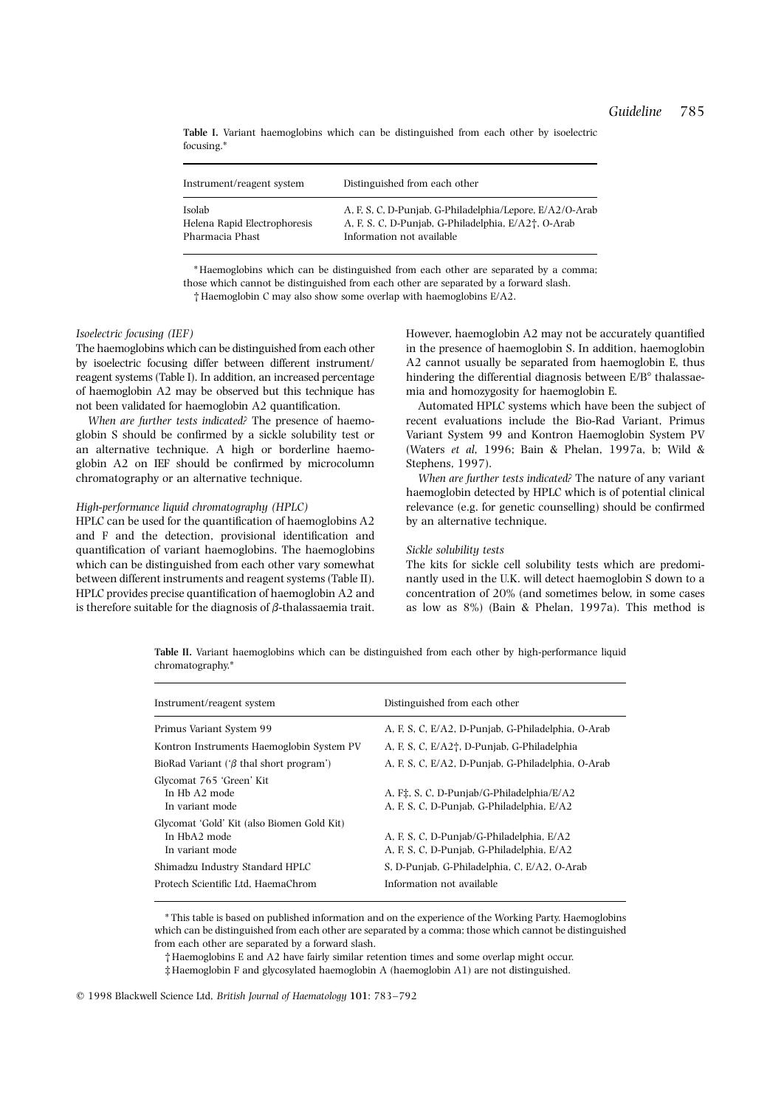**Table I.** Variant haemoglobins which can be distinguished from each other by isoelectric focusing.\*

| Instrument/reagent system    | Distinguished from each other                                    |
|------------------------------|------------------------------------------------------------------|
| <b>Isolab</b>                | A, F, S, C, D-Punjab, G-Philadelphia/Lepore, E/A2/O-Arab         |
| Helena Rapid Electrophoresis | A, F, S, C, D-Punjab, G-Philadelphia, E/A2 <sup>+</sup> , O-Arab |
| Pharmacia Phast              | Information not available                                        |

\* Haemoglobins which can be distinguished from each other are separated by a comma; those which cannot be distinguished from each other are separated by a forward slash. † Haemoglobin C may also show some overlap with haemoglobins E/A2.

#### *Isoelectric focusing (IEF)*

The haemoglobins which can be distinguished from each other by isoelectric focusing differ between different instrument/ reagent systems (Table I). In addition, an increased percentage of haemoglobin A2 may be observed but this technique has not been validated for haemoglobin A2 quantification.

*When are further tests indicated?* The presence of haemoglobin S should be confirmed by a sickle solubility test or an alternative technique. A high or borderline haemoglobin A2 on IEF should be confirmed by microcolumn chromatography or an alternative technique.

#### *High-performance liquid chromatography (HPLC)*

HPLC can be used for the quantification of haemoglobins A2 and F and the detection, provisional identification and quantification of variant haemoglobins. The haemoglobins which can be distinguished from each other vary somewhat between different instruments and reagent systems (Table II). HPLC provides precise quantification of haemoglobin A2 and is therefore suitable for the diagnosis of  $\beta$ -thalassaemia trait.

However, haemoglobin A2 may not be accurately quantified in the presence of haemoglobin S. In addition, haemoglobin A2 cannot usually be separated from haemoglobin E, thus hindering the differential diagnosis between  $E/B^{\circ}$  thalassaemia and homozygosity for haemoglobin E.

Automated HPLC systems which have been the subject of recent evaluations include the Bio-Rad Variant, Primus Variant System 99 and Kontron Haemoglobin System PV (Waters *et al*, 1996; Bain & Phelan, 1997a, b; Wild & Stephens, 1997).

*When are further tests indicated?* The nature of any variant haemoglobin detected by HPLC which is of potential clinical relevance (e.g. for genetic counselling) should be confirmed by an alternative technique.

#### *Sickle solubility tests*

The kits for sickle cell solubility tests which are predominantly used in the U.K. will detect haemoglobin S down to a concentration of 20% (and sometimes below, in some cases as low as 8%) (Bain & Phelan, 1997a). This method is

**Table II.** Variant haemoglobins which can be distinguished from each other by high-performance liquid chromatography.\*

| Instrument/reagent system                                                     | Distinguished from each other                                                           |
|-------------------------------------------------------------------------------|-----------------------------------------------------------------------------------------|
| Primus Variant System 99                                                      | A, F, S, C, E/A2, D-Punjab, G-Philadelphia, O-Arab                                      |
| Kontron Instruments Haemoglobin System PV                                     | A, F, S, C, E/A2†, D-Punjab, G-Philadelphia                                             |
| BioRad Variant ( $\beta$ thal short program')                                 | A, F, S, C, E/A2, D-Punjab, G-Philadelphia, O-Arab                                      |
| Glycomat 765 'Green' Kit<br>In Hb A2 mode<br>In variant mode                  | A, F., S, C, D-Punjab/G-Philadelphia/E/A2<br>A, F, S, C, D-Punjab, G-Philadelphia, E/A2 |
| Glycomat 'Gold' Kit (also Biomen Gold Kit)<br>In HbA2 mode<br>In variant mode | A, F, S, C, D-Punjab/G-Philadelphia, E/A2<br>A, F, S, C, D-Punjab, G-Philadelphia, E/A2 |
| Shimadzu Industry Standard HPLC                                               | S. D-Punjab, G-Philadelphia, C. E/A2, O-Arab                                            |
| Protech Scientific Ltd. HaemaChrom                                            | Information not available                                                               |

\* This table is based on published information and on the experience of the Working Party. Haemoglobins which can be distinguished from each other are separated by a comma; those which cannot be distinguished from each other are separated by a forward slash.

† Haemoglobins E and A2 have fairly similar retention times and some overlap might occur. ‡ Haemoglobin F and glycosylated haemoglobin A (haemoglobin A1) are not distinguished.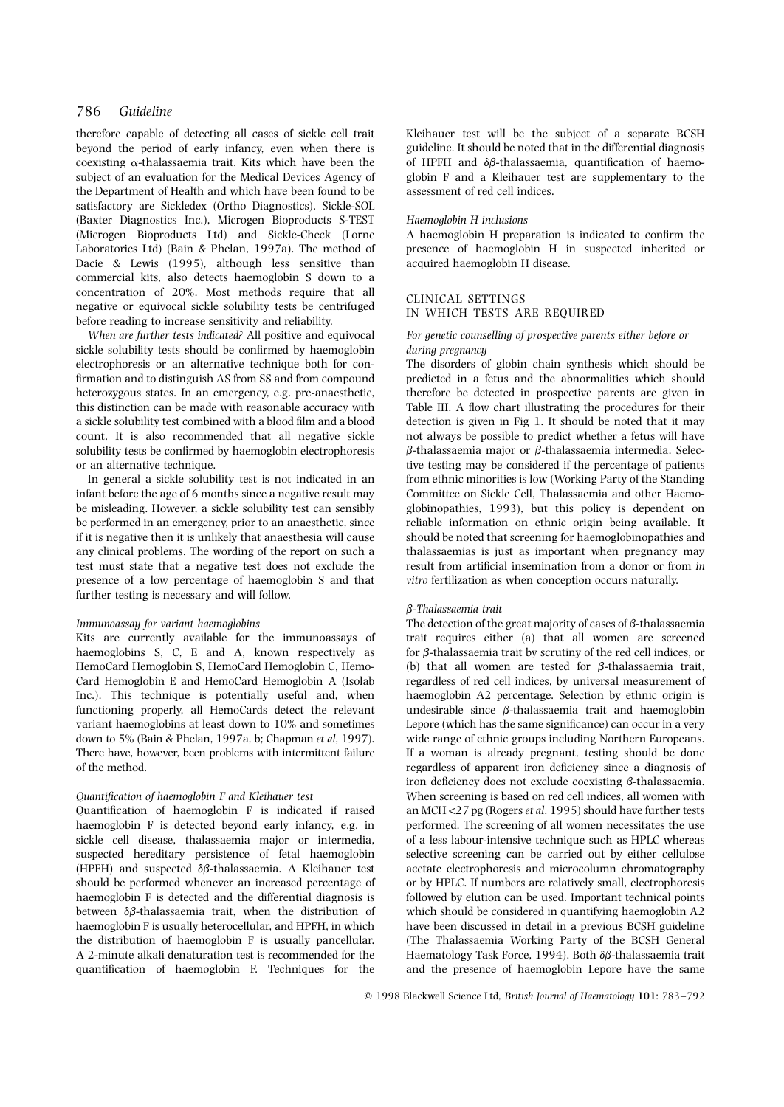therefore capable of detecting all cases of sickle cell trait beyond the period of early infancy, even when there is coexisting  $\alpha$ -thalassaemia trait. Kits which have been the subject of an evaluation for the Medical Devices Agency of the Department of Health and which have been found to be satisfactory are Sickledex (Ortho Diagnostics), Sickle-SOL (Baxter Diagnostics Inc.), Microgen Bioproducts S-TEST (Microgen Bioproducts Ltd) and Sickle-Check (Lorne Laboratories Ltd) (Bain & Phelan, 1997a). The method of Dacie & Lewis (1995), although less sensitive than commercial kits, also detects haemoglobin S down to a concentration of 20%. Most methods require that all negative or equivocal sickle solubility tests be centrifuged before reading to increase sensitivity and reliability.

*When are further tests indicated?* All positive and equivocal sickle solubility tests should be confirmed by haemoglobin electrophoresis or an alternative technique both for confirmation and to distinguish AS from SS and from compound heterozygous states. In an emergency, e.g. pre-anaesthetic, this distinction can be made with reasonable accuracy with a sickle solubility test combined with a blood film and a blood count. It is also recommended that all negative sickle solubility tests be confirmed by haemoglobin electrophoresis or an alternative technique.

In general a sickle solubility test is not indicated in an infant before the age of 6 months since a negative result may be misleading. However, a sickle solubility test can sensibly be performed in an emergency, prior to an anaesthetic, since if it is negative then it is unlikely that anaesthesia will cause any clinical problems. The wording of the report on such a test must state that a negative test does not exclude the presence of a low percentage of haemoglobin S and that further testing is necessary and will follow.

## *Immunoassay for variant haemoglobins*

Kits are currently available for the immunoassays of haemoglobins S, C, E and A, known respectively as HemoCard Hemoglobin S, HemoCard Hemoglobin C, Hemo-Card Hemoglobin E and HemoCard Hemoglobin A (Isolab Inc.). This technique is potentially useful and, when functioning properly, all HemoCards detect the relevant variant haemoglobins at least down to 10% and sometimes down to 5% (Bain & Phelan, 1997a, b; Chapman *et al*, 1997). There have, however, been problems with intermittent failure of the method.

## *Quantification of haemoglobin F and Kleihauer test*

Quantification of haemoglobin F is indicated if raised haemoglobin F is detected beyond early infancy, e.g. in sickle cell disease, thalassaemia major or intermedia, suspected hereditary persistence of fetal haemoglobin (HPFH) and suspected  $\delta\beta$ -thalassaemia. A Kleihauer test should be performed whenever an increased percentage of haemoglobin F is detected and the differential diagnosis is between  $\delta\beta$ -thalassaemia trait, when the distribution of haemoglobin F is usually heterocellular, and HPFH, in which the distribution of haemoglobin F is usually pancellular. A 2-minute alkali denaturation test is recommended for the quantification of haemoglobin F. Techniques for the

Kleihauer test will be the subject of a separate BCSH guideline. It should be noted that in the differential diagnosis of HPFH and  $\delta\beta$ -thalassaemia, quantification of haemoglobin F and a Kleihauer test are supplementary to the assessment of red cell indices.

#### *Haemoglobin H inclusions*

A haemoglobin H preparation is indicated to confirm the presence of haemoglobin H in suspected inherited or acquired haemoglobin H disease.

## CLINICAL SETTINGS IN WHICH TESTS ARE REQUIRED

## *For genetic counselling of prospective parents either before or during pregnancy*

The disorders of globin chain synthesis which should be predicted in a fetus and the abnormalities which should therefore be detected in prospective parents are given in Table III. A flow chart illustrating the procedures for their detection is given in Fig 1. It should be noted that it may not always be possible to predict whether a fetus will have  $\beta$ -thalassaemia major or  $\beta$ -thalassaemia intermedia. Selective testing may be considered if the percentage of patients from ethnic minorities is low (Working Party of the Standing Committee on Sickle Cell, Thalassaemia and other Haemoglobinopathies, 1993), but this policy is dependent on reliable information on ethnic origin being available. It should be noted that screening for haemoglobinopathies and thalassaemias is just as important when pregnancy may result from artificial insemination from a donor or from *in vitro* fertilization as when conception occurs naturally.

#### b*-Thalassaemia trait*

The detection of the great majority of cases of  $\beta$ -thalassaemia trait requires either (a) that all women are screened for  $\beta$ -thalassaemia trait by scrutiny of the red cell indices, or (b) that all women are tested for  $\beta$ -thalassaemia trait, regardless of red cell indices, by universal measurement of haemoglobin A2 percentage. Selection by ethnic origin is undesirable since  $\beta$ -thalassaemia trait and haemoglobin Lepore (which has the same significance) can occur in a very wide range of ethnic groups including Northern Europeans. If a woman is already pregnant, testing should be done regardless of apparent iron deficiency since a diagnosis of iron deficiency does not exclude coexisting  $\beta$ -thalassaemia. When screening is based on red cell indices, all women with an MCH <27 pg (Rogers *et al*, 1995) should have further tests performed. The screening of all women necessitates the use of a less labour-intensive technique such as HPLC whereas selective screening can be carried out by either cellulose acetate electrophoresis and microcolumn chromatography or by HPLC. If numbers are relatively small, electrophoresis followed by elution can be used. Important technical points which should be considered in quantifying haemoglobin A2 have been discussed in detail in a previous BCSH guideline (The Thalassaemia Working Party of the BCSH General Haematology Task Force, 1994). Both  $\delta\beta$ -thalassaemia trait and the presence of haemoglobin Lepore have the same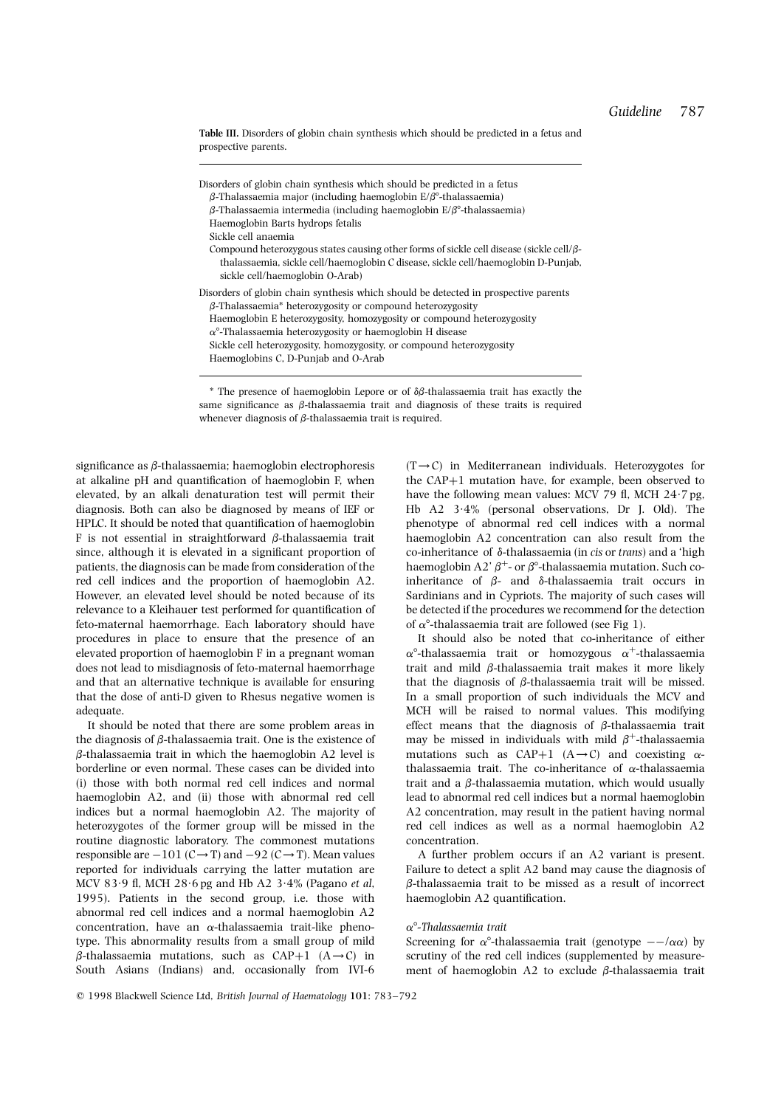**Table III.** Disorders of globin chain synthesis which should be predicted in a fetus and prospective parents.

| Disorders of globin chain synthesis which should be predicted in a fetus<br>$\beta$ -Thalassaemia major (including haemoglobin E/ $\beta$ °-thalassaemia)<br>$\beta$ -Thalassaemia intermedia (including haemoglobin E/ $\beta$ °-thalassaemia)<br>Haemoglobin Barts hydrops fetalis<br>Sickle cell anaemia                                                                                                               |
|---------------------------------------------------------------------------------------------------------------------------------------------------------------------------------------------------------------------------------------------------------------------------------------------------------------------------------------------------------------------------------------------------------------------------|
| Compound heterozygous states causing other forms of sickle cell disease (sickle cell/ $\beta$ -                                                                                                                                                                                                                                                                                                                           |
| thalassaemia, sickle cell/haemoglobin C disease, sickle cell/haemoglobin D-Punjab,<br>sickle cell/haemoglobin O-Arab)                                                                                                                                                                                                                                                                                                     |
| Disorders of globin chain synthesis which should be detected in prospective parents<br>$\beta$ -Thalassaemia* heterozygosity or compound heterozygosity<br>Haemoglobin E heterozygosity, homozygosity or compound heterozygosity<br>$\alpha^{\circ}$ -Thalassaemia heterozygosity or haemoglobin H disease<br>Sickle cell heterozygosity, homozygosity, or compound heterozygosity<br>Haemoglobins C, D-Punjab and O-Arab |
| * The presence of haemoglobin Lepore or of $\delta\beta$ -thalassaemia trait has exactly the<br>. Dental Anti-Control of Albert and Anti-Control and Albert and Albert Anti-Control and March 1. Anti-Control                                                                                                                                                                                                             |

same significance as  $\beta$ -thalassaemia trait and diagnosis of these traits is required whenever diagnosis of  $\beta$ -thalassaemia trait is required.

significance as  $\beta$ -thalassaemia; haemoglobin electrophoresis at alkaline pH and quantification of haemoglobin F, when elevated, by an alkali denaturation test will permit their diagnosis. Both can also be diagnosed by means of IEF or HPLC. It should be noted that quantification of haemoglobin F is not essential in straightforward  $\beta$ -thalassaemia trait since, although it is elevated in a significant proportion of patients, the diagnosis can be made from consideration of the red cell indices and the proportion of haemoglobin A2. However, an elevated level should be noted because of its relevance to a Kleihauer test performed for quantification of feto-maternal haemorrhage. Each laboratory should have procedures in place to ensure that the presence of an elevated proportion of haemoglobin F in a pregnant woman does not lead to misdiagnosis of feto-maternal haemorrhage and that an alternative technique is available for ensuring that the dose of anti-D given to Rhesus negative women is adequate.

It should be noted that there are some problem areas in the diagnosis of  $\beta$ -thalassaemia trait. One is the existence of  $\beta$ -thalassaemia trait in which the haemoglobin A2 level is borderline or even normal. These cases can be divided into (i) those with both normal red cell indices and normal haemoglobin A2, and (ii) those with abnormal red cell indices but a normal haemoglobin A2. The majority of heterozygotes of the former group will be missed in the routine diagnostic laboratory. The commonest mutations responsible are  $-101$  (C $\rightarrow$ T) and  $-92$  (C $\rightarrow$ T). Mean values reported for individuals carrying the latter mutation are MCV 83·9 fl, MCH 28·6 pg and Hb A2 3·4% (Pagano *et al*, 1995). Patients in the second group, i.e. those with abnormal red cell indices and a normal haemoglobin A2 concentration, have an  $\alpha$ -thalassaemia trait-like phenotype. This abnormality results from a small group of mild  $\beta$ -thalassaemia mutations, such as CAP+1 (A  $\rightarrow$  C) in South Asians (Indians) and, occasionally from IVI-6

 $(T \rightarrow C)$  in Mediterranean individuals. Heterozygotes for the  $CAP+1$  mutation have, for example, been observed to have the following mean values: MCV 79 fl, MCH  $24.7$  pg, Hb A2 3·4% (personal observations, Dr J. Old). The phenotype of abnormal red cell indices with a normal haemoglobin A2 concentration can also result from the co-inheritance of d-thalassaemia (in *cis* or *trans*) and a 'high haemoglobin A2'  $\beta^+$ - or  $\beta^{\circ}$ -thalassaemia mutation. Such coinheritance of  $\beta$ - and  $\delta$ -thalassaemia trait occurs in Sardinians and in Cypriots. The majority of such cases will be detected if the procedures we recommend for the detection of  $\alpha^{\circ}$ -thalassaemia trait are followed (see Fig 1).

It should also be noted that co-inheritance of either  $\alpha^{\circ}$ -thalassaemia trait or homozygous  $\alpha^{+}$ -thalassaemia trait and mild  $\beta$ -thalassaemia trait makes it more likely that the diagnosis of  $\beta$ -thalassaemia trait will be missed. In a small proportion of such individuals the MCV and MCH will be raised to normal values. This modifying effect means that the diagnosis of  $\beta$ -thalassaemia trait may be missed in individuals with mild  $\beta^+$ -thalassaemia mutations such as CAP+1 (A  $\rightarrow$  C) and coexisting  $\alpha$ thalassaemia trait. The co-inheritance of  $\alpha$ -thalassaemia trait and a  $\beta$ -thalassaemia mutation, which would usually lead to abnormal red cell indices but a normal haemoglobin A2 concentration, may result in the patient having normal red cell indices as well as a normal haemoglobin A2 concentration.

A further problem occurs if an A2 variant is present. Failure to detect a split A2 band may cause the diagnosis of  $\beta$ -thalassaemia trait to be missed as a result of incorrect haemoglobin A2 quantification.

## a8*-Thalassaemia trait*

Screening for  $\alpha^{\circ}$ -thalassaemia trait (genotype  $-\alpha\alpha$ ) by scrutiny of the red cell indices (supplemented by measurement of haemoglobin A2 to exclude  $\beta$ -thalassaemia trait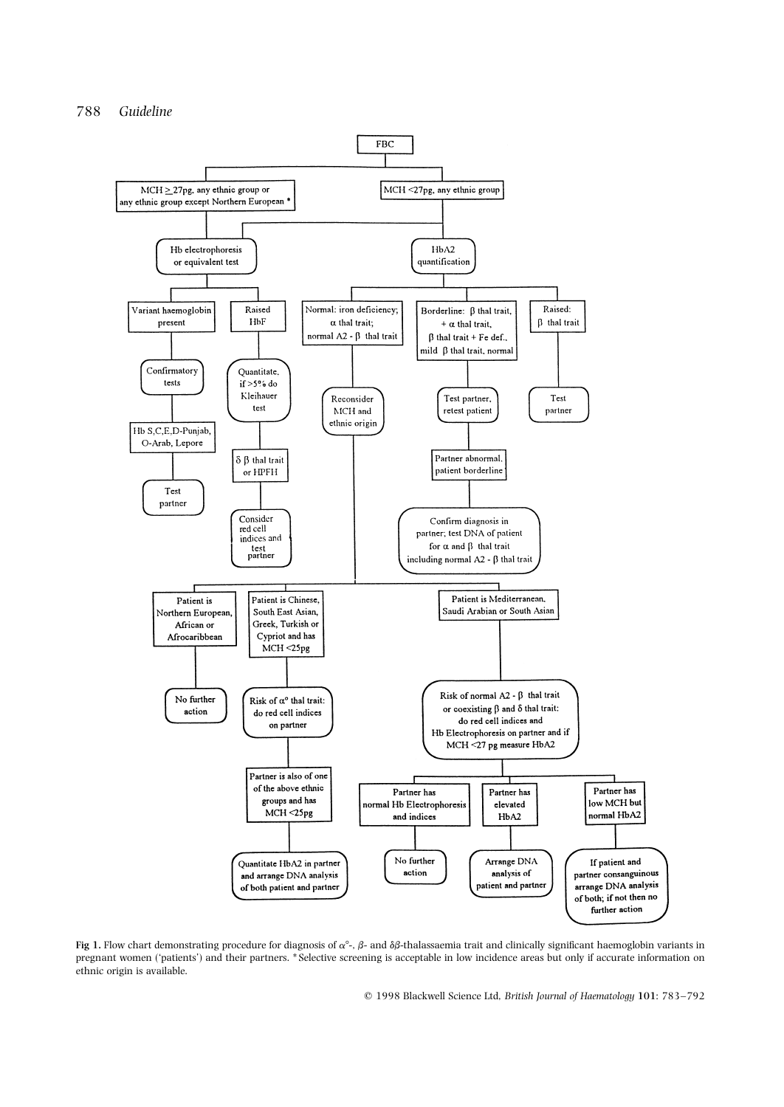

**Fig 1.** Flow chart demonstrating procedure for diagnosis of  $\alpha^{\circ}$ ,  $\beta$ - and  $\delta\beta$ -thalassaemia trait and clinically significant haemoglobin variants in pregnant women ('patients') and their partners. \* Selective screening is acceptable in low incidence areas but only if accurate information on ethnic origin is available.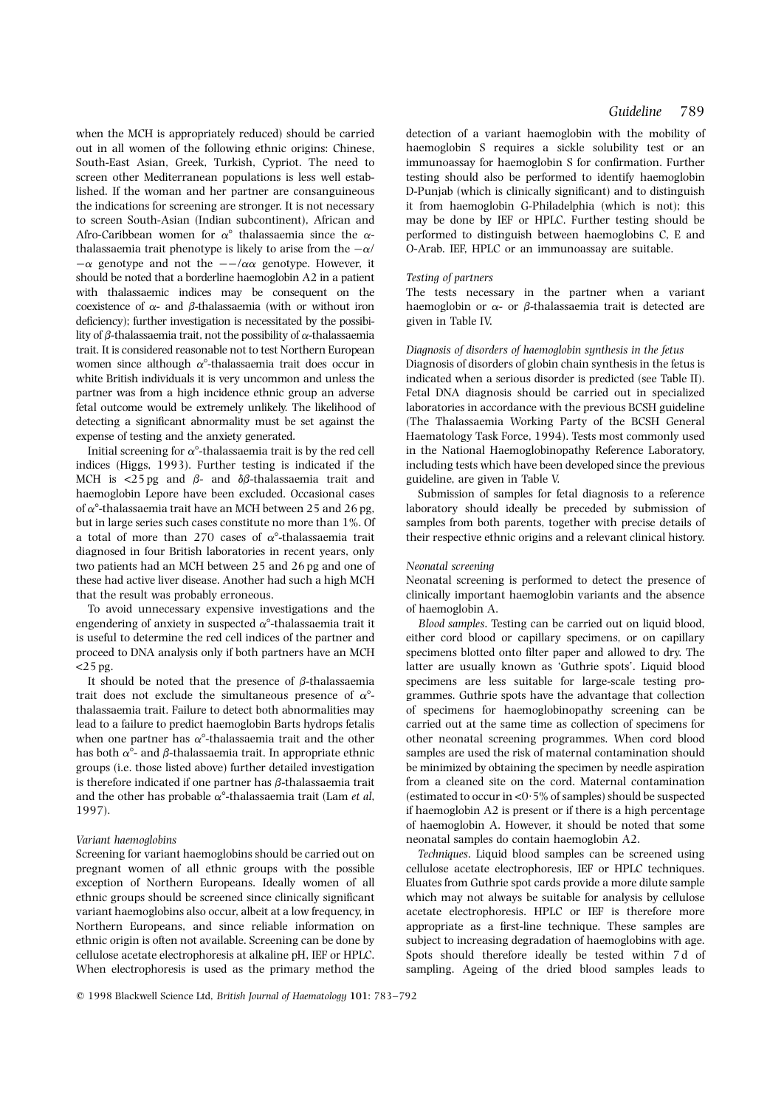when the MCH is appropriately reduced) should be carried out in all women of the following ethnic origins: Chinese, South-East Asian, Greek, Turkish, Cypriot. The need to screen other Mediterranean populations is less well established. If the woman and her partner are consanguineous the indications for screening are stronger. It is not necessary to screen South-Asian (Indian subcontinent), African and Afro-Caribbean women for  $\alpha^{\circ}$  thalassaemia since the  $\alpha$ thalassaemia trait phenotype is likely to arise from the  $-\alpha/$  $-\alpha$  genotype and not the  $-\frac{1}{\alpha}$  genotype. However, it should be noted that a borderline haemoglobin A2 in a patient with thalassaemic indices may be consequent on the coexistence of  $\alpha$ - and  $\beta$ -thalassaemia (with or without iron deficiency); further investigation is necessitated by the possibility of  $\beta$ -thalassaemia trait, not the possibility of  $\alpha$ -thalassaemia trait. It is considered reasonable not to test Northern European women since although  $\alpha^{\circ}$ -thalassaemia trait does occur in white British individuals it is very uncommon and unless the partner was from a high incidence ethnic group an adverse fetal outcome would be extremely unlikely. The likelihood of detecting a significant abnormality must be set against the expense of testing and the anxiety generated.

Initial screening for  $\alpha^{\circ}$ -thalassaemia trait is by the red cell indices (Higgs, 1993). Further testing is indicated if the MCH is  $\langle 25 \rangle$  pg and  $\beta$ - and  $\delta\beta$ -thalassaemia trait and haemoglobin Lepore have been excluded. Occasional cases of  $\alpha^{\circ}$ -thalassaemia trait have an MCH between 25 and 26 pg, but in large series such cases constitute no more than 1%. Of a total of more than 270 cases of  $\alpha^{\circ}$ -thalassaemia trait diagnosed in four British laboratories in recent years, only two patients had an MCH between 25 and 26 pg and one of these had active liver disease. Another had such a high MCH that the result was probably erroneous.

To avoid unnecessary expensive investigations and the engendering of anxiety in suspected  $\alpha^{\circ}$ -thalassaemia trait it is useful to determine the red cell indices of the partner and proceed to DNA analysis only if both partners have an MCH  $<$ 25 pg.

It should be noted that the presence of  $\beta$ -thalassaemia trait does not exclude the simultaneous presence of  $\alpha^{\circ}$ thalassaemia trait. Failure to detect both abnormalities may lead to a failure to predict haemoglobin Barts hydrops fetalis when one partner has  $\alpha^{\circ}$ -thalassaemia trait and the other has both  $\alpha^{\circ}$ - and  $\beta$ -thalassaemia trait. In appropriate ethnic groups (i.e. those listed above) further detailed investigation is therefore indicated if one partner has  $\beta$ -thalassaemia trait and the other has probable  $\alpha^{\circ}$ -thalassaemia trait (Lam *et al*, 1997).

#### *Variant haemoglobins*

Screening for variant haemoglobins should be carried out on pregnant women of all ethnic groups with the possible exception of Northern Europeans. Ideally women of all ethnic groups should be screened since clinically significant variant haemoglobins also occur, albeit at a low frequency, in Northern Europeans, and since reliable information on ethnic origin is often not available. Screening can be done by cellulose acetate electrophoresis at alkaline pH, IEF or HPLC. When electrophoresis is used as the primary method the

detection of a variant haemoglobin with the mobility of haemoglobin S requires a sickle solubility test or an immunoassay for haemoglobin S for confirmation. Further testing should also be performed to identify haemoglobin D-Punjab (which is clinically significant) and to distinguish it from haemoglobin G-Philadelphia (which is not); this may be done by IEF or HPLC. Further testing should be performed to distinguish between haemoglobins C, E and O-Arab. IEF, HPLC or an immunoassay are suitable.

#### *Testing of partners*

The tests necessary in the partner when a variant haemoglobin or  $\alpha$ - or  $\beta$ -thalassaemia trait is detected are given in Table IV.

#### *Diagnosis of disorders of haemoglobin synthesis in the fetus*

Diagnosis of disorders of globin chain synthesis in the fetus is indicated when a serious disorder is predicted (see Table II). Fetal DNA diagnosis should be carried out in specialized laboratories in accordance with the previous BCSH guideline (The Thalassaemia Working Party of the BCSH General Haematology Task Force, 1994). Tests most commonly used in the National Haemoglobinopathy Reference Laboratory, including tests which have been developed since the previous guideline, are given in Table V.

Submission of samples for fetal diagnosis to a reference laboratory should ideally be preceded by submission of samples from both parents, together with precise details of their respective ethnic origins and a relevant clinical history.

#### *Neonatal screening*

Neonatal screening is performed to detect the presence of clinically important haemoglobin variants and the absence of haemoglobin A.

*Blood samples*. Testing can be carried out on liquid blood, either cord blood or capillary specimens, or on capillary specimens blotted onto filter paper and allowed to dry. The latter are usually known as 'Guthrie spots'. Liquid blood specimens are less suitable for large-scale testing programmes. Guthrie spots have the advantage that collection of specimens for haemoglobinopathy screening can be carried out at the same time as collection of specimens for other neonatal screening programmes. When cord blood samples are used the risk of maternal contamination should be minimized by obtaining the specimen by needle aspiration from a cleaned site on the cord. Maternal contamination (estimated to occur in  $\langle 0.5\%$  of samples) should be suspected if haemoglobin A2 is present or if there is a high percentage of haemoglobin A. However, it should be noted that some neonatal samples do contain haemoglobin A2.

*Techniques*. Liquid blood samples can be screened using cellulose acetate electrophoresis, IEF or HPLC techniques. Eluates from Guthrie spot cards provide a more dilute sample which may not always be suitable for analysis by cellulose acetate electrophoresis. HPLC or IEF is therefore more appropriate as a first-line technique. These samples are subject to increasing degradation of haemoglobins with age. Spots should therefore ideally be tested within 7 d of sampling. Ageing of the dried blood samples leads to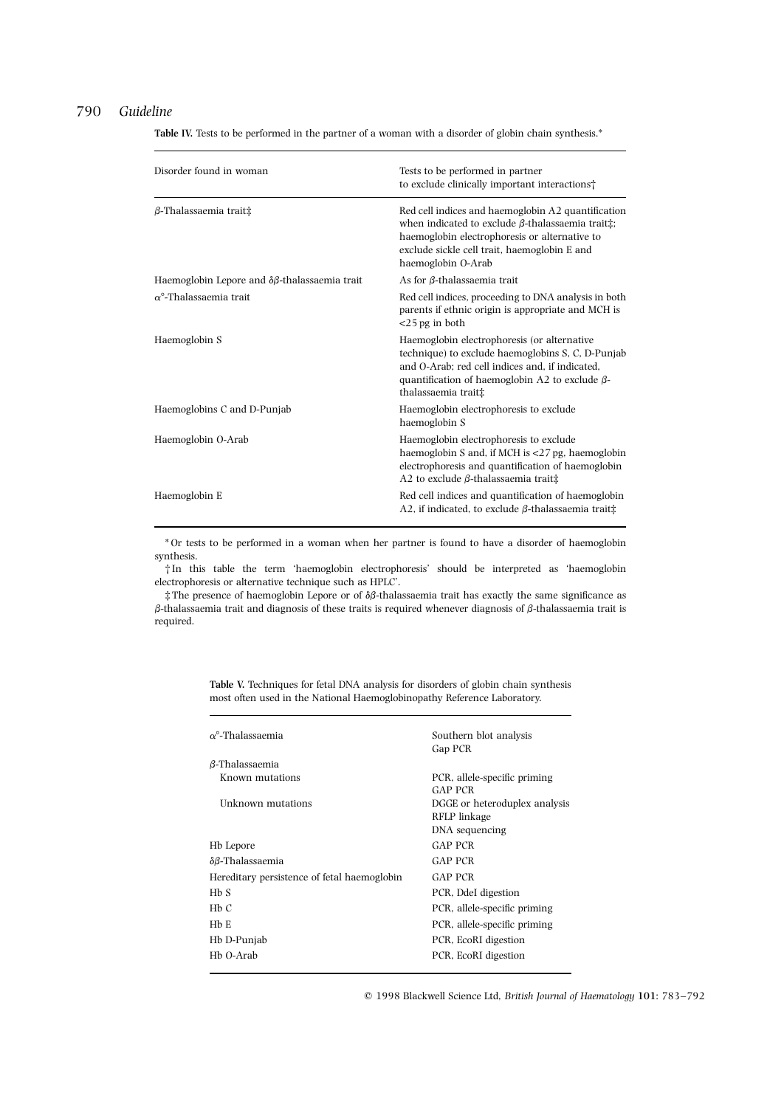Table IV. Tests to be performed in the partner of a woman with a disorder of globin chain synthesis.<sup>\*</sup>

| Disorder found in woman                                  | Tests to be performed in partner<br>to exclude clinically important interactions <sup>+</sup>                                                                                                                                                   |
|----------------------------------------------------------|-------------------------------------------------------------------------------------------------------------------------------------------------------------------------------------------------------------------------------------------------|
| $\beta$ -Thalassaemia trait $\ddagger$                   | Red cell indices and haemoglobin A2 quantification<br>when indicated to exclude $\beta$ -thalassaemia trait $\ddagger$ ;<br>haemoglobin electrophoresis or alternative to<br>exclude sickle cell trait, haemoglobin E and<br>haemoglobin O-Arab |
| Haemoglobin Lepore and $\delta\beta$ -thalassaemia trait | As for $\beta$ -thalassaemia trait                                                                                                                                                                                                              |
| $\alpha^{\circ}$ -Thalassaemia trait                     | Red cell indices, proceeding to DNA analysis in both<br>parents if ethnic origin is appropriate and MCH is<br>$<$ 25 pg in both                                                                                                                 |
| Haemoglobin S                                            | Haemoglobin electrophoresis (or alternative<br>technique) to exclude haemoglobins S, C, D-Punjab<br>and O-Arab; red cell indices and, if indicated,<br>quantification of haemoglobin A2 to exclude $\beta$ -<br>thalassaemia trait:             |
| Haemoglobins C and D-Punjab                              | Haemoglobin electrophoresis to exclude<br>haemoglobin S                                                                                                                                                                                         |
| Haemoglobin O-Arab                                       | Haemoglobin electrophoresis to exclude<br>haemoglobin S and, if MCH is <27 pg, haemoglobin<br>electrophoresis and quantification of haemoglobin<br>A2 to exclude $\beta$ -thalassaemia trait $\ddagger$ :                                       |
| Haemoglobin E                                            | Red cell indices and quantification of haemoglobin<br>A2, if indicated, to exclude $\beta$ -thalassaemia trait $\ddagger$                                                                                                                       |

\* Or tests to be performed in a woman when her partner is found to have a disorder of haemoglobin synthesis.

† In this table the term 'haemoglobin electrophoresis' should be interpreted as 'haemoglobin electrophoresis or alternative technique such as HPLC'.

 $\ddagger$  The presence of haemoglobin Lepore or of  $\delta\beta$ -thalassaemia trait has exactly the same significance as  $\beta$ -thalassaemia trait and diagnosis of these traits is required whenever diagnosis of  $\beta$ -thalassaemia trait is required.

| $\alpha^{\circ}$ -Thalassaemia              | Southern blot analysis        |
|---------------------------------------------|-------------------------------|
|                                             | Gap PCR                       |
| $\beta$ -Thalassaemia                       |                               |
| Known mutations                             | PCR, allele-specific priming  |
|                                             | <b>GAP PCR</b>                |
| Unknown mutations                           | DGGE or heteroduplex analysis |
|                                             | RFLP linkage                  |
|                                             | DNA sequencing                |
| H <sub>b</sub> Lepore                       | GAP PCR                       |
| $\delta\beta$ -Thalassaemia                 | <b>GAP PCR</b>                |
| Hereditary persistence of fetal haemoglobin | GAP PCR                       |
| HbS                                         | PCR, DdeI digestion           |
| Hb C                                        | PCR, allele-specific priming  |
| Hb E                                        | PCR, allele-specific priming  |
| Hb D-Punjab                                 | PCR, EcoRI digestion          |
| H <sub>b</sub> O-Arab                       | PCR, EcoRI digestion          |
|                                             |                               |

**Table V.** Techniques for fetal DNA analysis for disorders of globin chain synthesis most often used in the National Haemoglobinopathy Reference Laboratory.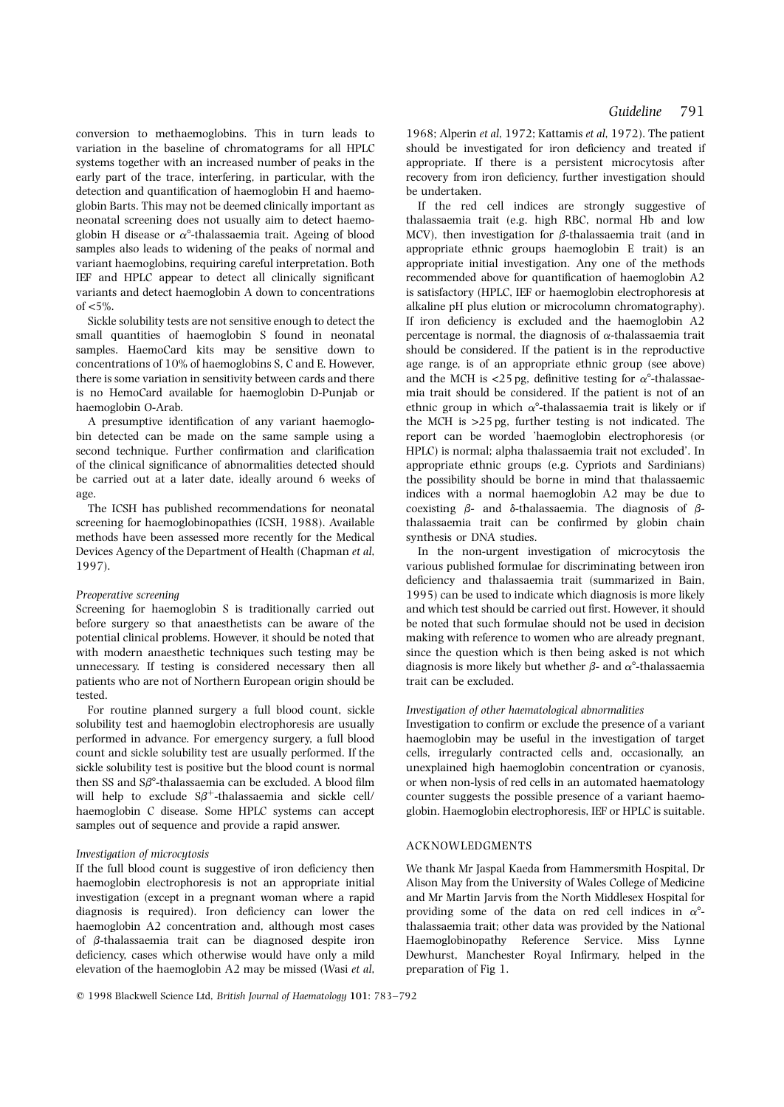conversion to methaemoglobins. This in turn leads to variation in the baseline of chromatograms for all HPLC systems together with an increased number of peaks in the early part of the trace, interfering, in particular, with the detection and quantification of haemoglobin H and haemoglobin Barts. This may not be deemed clinically important as neonatal screening does not usually aim to detect haemoglobin H disease or  $\alpha^{\circ}$ -thalassaemia trait. Ageing of blood samples also leads to widening of the peaks of normal and variant haemoglobins, requiring careful interpretation. Both IEF and HPLC appear to detect all clinically significant variants and detect haemoglobin A down to concentrations of  $\lt 5\%$ .

Sickle solubility tests are not sensitive enough to detect the small quantities of haemoglobin S found in neonatal samples. HaemoCard kits may be sensitive down to concentrations of 10% of haemoglobins S, C and E. However, there is some variation in sensitivity between cards and there is no HemoCard available for haemoglobin D-Punjab or haemoglobin O-Arab.

A presumptive identification of any variant haemoglobin detected can be made on the same sample using a second technique. Further confirmation and clarification of the clinical significance of abnormalities detected should be carried out at a later date, ideally around 6 weeks of age.

The ICSH has published recommendations for neonatal screening for haemoglobinopathies (ICSH, 1988). Available methods have been assessed more recently for the Medical Devices Agency of the Department of Health (Chapman *et al*, 1997).

## *Preoperative screening*

Screening for haemoglobin S is traditionally carried out before surgery so that anaesthetists can be aware of the potential clinical problems. However, it should be noted that with modern anaesthetic techniques such testing may be unnecessary. If testing is considered necessary then all patients who are not of Northern European origin should be tested.

For routine planned surgery a full blood count, sickle solubility test and haemoglobin electrophoresis are usually performed in advance. For emergency surgery, a full blood count and sickle solubility test are usually performed. If the sickle solubility test is positive but the blood count is normal then SS and  $S\beta$ <sup>o</sup>-thalassaemia can be excluded. A blood film will help to exclude  $S\beta^+$ -thalassaemia and sickle cell/ haemoglobin C disease. Some HPLC systems can accept samples out of sequence and provide a rapid answer.

## *Investigation of microcytosis*

If the full blood count is suggestive of iron deficiency then haemoglobin electrophoresis is not an appropriate initial investigation (except in a pregnant woman where a rapid diagnosis is required). Iron deficiency can lower the haemoglobin A2 concentration and, although most cases of  $\beta$ -thalassaemia trait can be diagnosed despite iron deficiency, cases which otherwise would have only a mild elevation of the haemoglobin A2 may be missed (Wasi *et al*,

1968; Alperin *et al*, 1972; Kattamis *et al*, 1972). The patient should be investigated for iron deficiency and treated if appropriate. If there is a persistent microcytosis after recovery from iron deficiency, further investigation should be undertaken.

If the red cell indices are strongly suggestive of thalassaemia trait (e.g. high RBC, normal Hb and low MCV), then investigation for  $\beta$ -thalassaemia trait (and in appropriate ethnic groups haemoglobin E trait) is an appropriate initial investigation. Any one of the methods recommended above for quantification of haemoglobin A2 is satisfactory (HPLC, IEF or haemoglobin electrophoresis at alkaline pH plus elution or microcolumn chromatography). If iron deficiency is excluded and the haemoglobin A2 percentage is normal, the diagnosis of  $\alpha$ -thalassaemia trait should be considered. If the patient is in the reproductive age range, is of an appropriate ethnic group (see above) and the MCH is <25 pg, definitive testing for  $\alpha^{\circ}$ -thalassaemia trait should be considered. If the patient is not of an ethnic group in which  $\alpha^{\circ}$ -thalassaemia trait is likely or if the MCH is >25 pg, further testing is not indicated. The report can be worded 'haemoglobin electrophoresis (or HPLC) is normal; alpha thalassaemia trait not excluded'. In appropriate ethnic groups (e.g. Cypriots and Sardinians) the possibility should be borne in mind that thalassaemic indices with a normal haemoglobin A2 may be due to coexisting  $\beta$ - and  $\delta$ -thalassaemia. The diagnosis of  $\beta$ thalassaemia trait can be confirmed by globin chain synthesis or DNA studies.

In the non-urgent investigation of microcytosis the various published formulae for discriminating between iron deficiency and thalassaemia trait (summarized in Bain, 1995) can be used to indicate which diagnosis is more likely and which test should be carried out first. However, it should be noted that such formulae should not be used in decision making with reference to women who are already pregnant, since the question which is then being asked is not which diagnosis is more likely but whether  $\beta$ - and  $\alpha^{\circ}$ -thalassaemia trait can be excluded.

## *Investigation of other haematological abnormalities*

Investigation to confirm or exclude the presence of a variant haemoglobin may be useful in the investigation of target cells, irregularly contracted cells and, occasionally, an unexplained high haemoglobin concentration or cyanosis, or when non-lysis of red cells in an automated haematology counter suggests the possible presence of a variant haemoglobin. Haemoglobin electrophoresis, IEF or HPLC is suitable.

## ACKNOWLEDGMENTS

We thank Mr Jaspal Kaeda from Hammersmith Hospital, Dr Alison May from the University of Wales College of Medicine and Mr Martin Jarvis from the North Middlesex Hospital for providing some of the data on red cell indices in  $\alpha^{\circ}$ thalassaemia trait; other data was provided by the National Haemoglobinopathy Reference Service. Miss Lynne Dewhurst, Manchester Royal Infirmary, helped in the preparation of Fig 1.